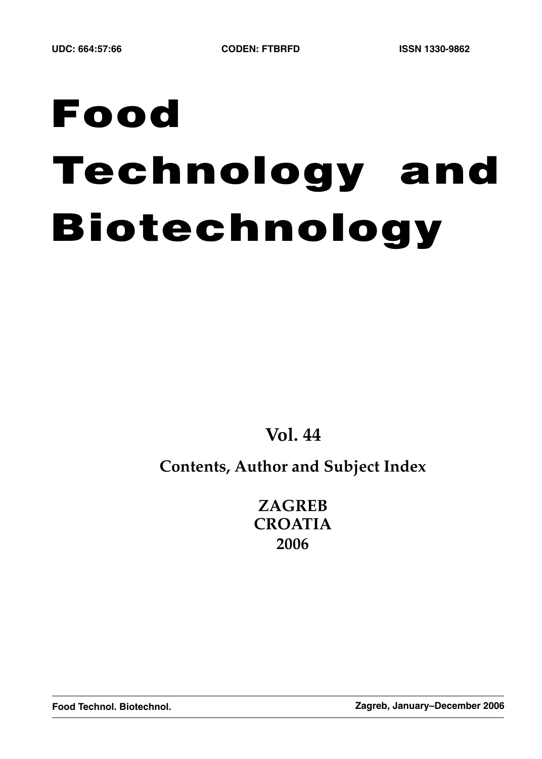# **Food Technology and Biotechnology**

**Vol. 44**

# **Contents, Author and Subject Index**

**ZAGREB CROATIA 2006**

**Food Technol. Biotechnol. Zagreb, January–December 2006**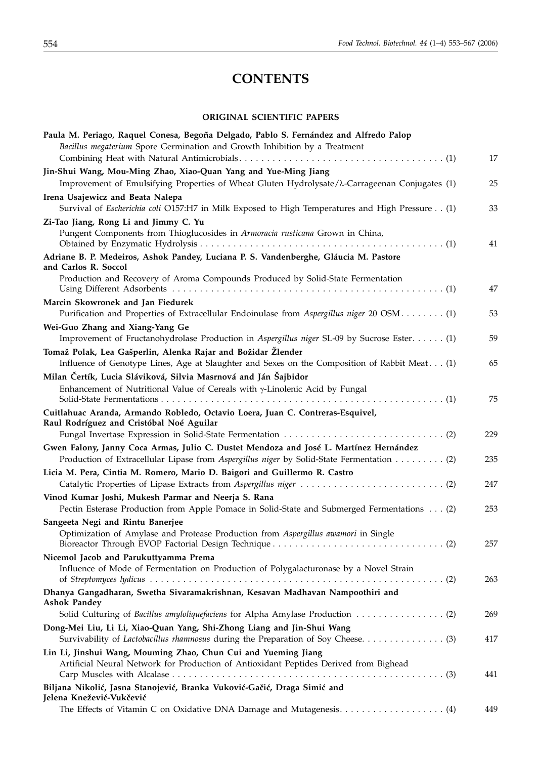# **CONTENTS**

#### **ORIGINAL SCIENTIFIC PAPERS**

| Paula M. Periago, Raquel Conesa, Begoña Delgado, Pablo S. Fernández and Alfredo Palop<br>Bacillus megaterium Spore Germination and Growth Inhibition by a Treatment                | 17         |
|------------------------------------------------------------------------------------------------------------------------------------------------------------------------------------|------------|
| Jin-Shui Wang, Mou-Ming Zhao, Xiao-Quan Yang and Yue-Ming Jiang<br>Improvement of Emulsifying Properties of Wheat Gluten Hydrolysate/ $\lambda$ -Carrageenan Conjugates (1)        | 25         |
| Irena Usajewicz and Beata Nalepa<br>Survival of Escherichia coli O157:H7 in Milk Exposed to High Temperatures and High Pressure (1)                                                | 33         |
| Zi-Tao Jiang, Rong Li and Jimmy C. Yu<br>Pungent Components from Thioglucosides in Armoracia rusticana Grown in China,                                                             | 41         |
| Adriane B. P. Medeiros, Ashok Pandey, Luciana P. S. Vandenberghe, Gláucia M. Pastore<br>and Carlos R. Soccol                                                                       |            |
| Production and Recovery of Aroma Compounds Produced by Solid-State Fermentation                                                                                                    | 47         |
| Marcin Skowronek and Jan Fiedurek<br>Purification and Properties of Extracellular Endoinulase from Aspergillus niger 20 OSM (1)                                                    | 53         |
| Wei-Guo Zhang and Xiang-Yang Ge<br>Improvement of Fructanohydrolase Production in Aspergillus niger SL-09 by Sucrose Ester (1)                                                     | 59         |
| Tomaž Polak, Lea Gašperlin, Alenka Rajar and Božidar Žlender<br>Influence of Genotype Lines, Age at Slaughter and Sexes on the Composition of Rabbit Meat. (1)                     | 65         |
| Milan Čertík, Lucia Sláviková, Silvia Masrnová and Ján Šajbidor<br>Enhancement of Nutritional Value of Cereals with $\gamma$ -Linolenic Acid by Fungal                             | 75         |
| Cuitlahuac Aranda, Armando Robledo, Octavio Loera, Juan C. Contreras-Esquivel,<br>Raul Rodríguez and Cristóbal Noé Aguilar                                                         |            |
| Gwen Falony, Janny Coca Armas, Julio C. Dustet Mendoza and José L. Martínez Hernández<br>Production of Extracellular Lipase from Aspergillus niger by Solid-State Fermentation (2) | 229<br>235 |
| Licia M. Pera, Cintia M. Romero, Mario D. Baigori and Guillermo R. Castro                                                                                                          | 247        |
| Vinod Kumar Joshi, Mukesh Parmar and Neerja S. Rana<br>Pectin Esterase Production from Apple Pomace in Solid-State and Submerged Fermentations (2)                                 | 253        |
| Sangeeta Negi and Rintu Banerjee<br>Optimization of Amylase and Protease Production from Aspergillus awamori in Single                                                             | 257        |
| Nicemol Jacob and Parukuttyamma Prema<br>Influence of Mode of Fermentation on Production of Polygalacturonase by a Novel Strain                                                    | 263        |
| Dhanya Gangadharan, Swetha Sivaramakrishnan, Kesavan Madhavan Nampoothiri and<br><b>Ashok Pandey</b>                                                                               |            |
| Dong-Mei Liu, Li Li, Xiao-Quan Yang, Shi-Zhong Liang and Jin-Shui Wang<br>Survivability of Lactobacillus rhamnosus during the Preparation of Soy Cheese (3)                        | 269<br>417 |
| Lin Li, Jinshui Wang, Mouming Zhao, Chun Cui and Yueming Jiang<br>Artificial Neural Network for Production of Antioxidant Peptides Derived from Bighead                            | 441        |
| Biljana Nikolić, Jasna Stanojević, Branka Vuković-Gačić, Draga Simić and<br>Jelena Knežević-Vukčević                                                                               | 449        |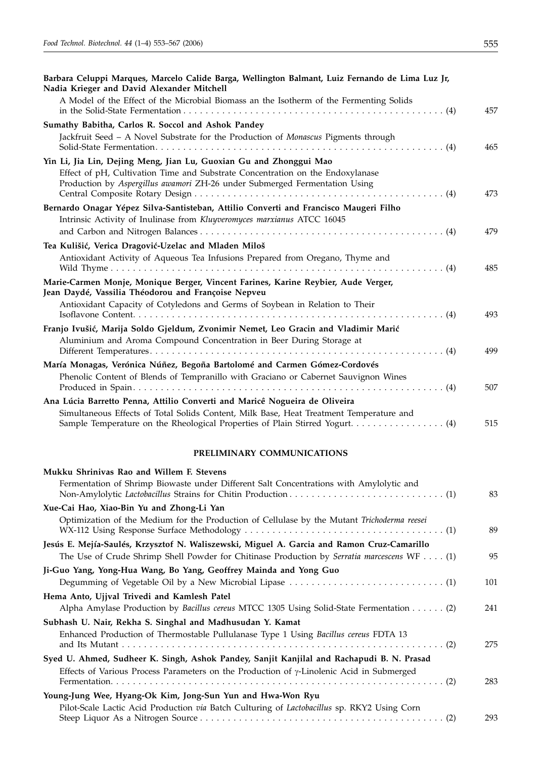| ٠ | ł |  |
|---|---|--|

| Barbara Celuppi Marques, Marcelo Calide Barga, Wellington Balmant, Luiz Fernando de Lima Luz Jr,<br>Nadia Krieger and David Alexander Mitchell                                                                                                        |     |
|-------------------------------------------------------------------------------------------------------------------------------------------------------------------------------------------------------------------------------------------------------|-----|
| A Model of the Effect of the Microbial Biomass an the Isotherm of the Fermenting Solids                                                                                                                                                               | 457 |
| Sumathy Babitha, Carlos R. Soccol and Ashok Pandey                                                                                                                                                                                                    |     |
| Jackfruit Seed - A Novel Substrate for the Production of Monascus Pigments through                                                                                                                                                                    | 465 |
| Yin Li, Jia Lin, Dejing Meng, Jian Lu, Guoxian Gu and Zhonggui Mao                                                                                                                                                                                    |     |
| Effect of pH, Cultivation Time and Substrate Concentration on the Endoxylanase<br>Production by Aspergillus awamori ZH-26 under Submerged Fermentation Using                                                                                          | 473 |
| Bernardo Onagar Yépez Silva-Santisteban, Attilio Converti and Francisco Maugeri Filho                                                                                                                                                                 |     |
| Intrinsic Activity of Inulinase from Kluyveromyces marxianus ATCC 16045                                                                                                                                                                               | 479 |
| Tea Kulišić, Verica Dragović-Uzelac and Mladen Miloš                                                                                                                                                                                                  |     |
| Antioxidant Activity of Aqueous Tea Infusions Prepared from Oregano, Thyme and                                                                                                                                                                        | 485 |
| Marie-Carmen Monje, Monique Berger, Vincent Farines, Karine Reybier, Aude Verger,                                                                                                                                                                     |     |
| Jean Daydé, Vassilia Théodorou and Françoise Nepveu                                                                                                                                                                                                   |     |
| Antioxidant Capacity of Cotyledons and Germs of Soybean in Relation to Their                                                                                                                                                                          |     |
|                                                                                                                                                                                                                                                       | 493 |
| Franjo Ivušić, Marija Soldo Gjeldum, Zvonimir Nemet, Leo Gracin and Vladimir Marić                                                                                                                                                                    |     |
| Aluminium and Aroma Compound Concentration in Beer During Storage at                                                                                                                                                                                  |     |
|                                                                                                                                                                                                                                                       | 499 |
| María Monagas, Verónica Núñez, Begoña Bartolomé and Carmen Gómez-Cordovés<br>Phenolic Content of Blends of Tempranillo with Graciano or Cabernet Sauvignon Wines                                                                                      | 507 |
| Ana Lúcia Barretto Penna, Attilio Converti and Maricê Nogueira de Oliveira<br>Simultaneous Effects of Total Solids Content, Milk Base, Heat Treatment Temperature and<br>Sample Temperature on the Rheological Properties of Plain Stirred Yogurt (4) | 515 |
| PRELIMINARY COMMUNICATIONS                                                                                                                                                                                                                            |     |
| Mukku Shrinivas Rao and Willem F. Stevens                                                                                                                                                                                                             |     |
| Fermentation of Shrimp Biowaste under Different Salt Concentrations with Amylolytic and                                                                                                                                                               | 83  |
| Xue-Cai Hao, Xiao-Bin Yu and Zhong-Li Yan                                                                                                                                                                                                             |     |
| Optimization of the Medium for the Production of Cellulase by the Mutant Trichoderma reesei                                                                                                                                                           |     |
|                                                                                                                                                                                                                                                       | 89  |
| Jesús E. Mejía-Saulés, Krzysztof N. Waliszewski, Miguel A. Garcia and Ramon Cruz-Camarillo<br>The Use of Crude Shrimp Shell Powder for Chitinase Production by Serratia marcescens WF (1)                                                             | 95  |
| Ji-Guo Yang, Yong-Hua Wang, Bo Yang, Geoffrey Mainda and Yong Guo                                                                                                                                                                                     |     |
|                                                                                                                                                                                                                                                       | 101 |
| Hema Anto, Ujjval Trivedi and Kamlesh Patel<br>Alpha Amylase Production by Bacillus cereus MTCC 1305 Using Solid-State Fermentation (2)                                                                                                               | 241 |
| Subhash U. Nair, Rekha S. Singhal and Madhusudan Y. Kamat<br>Enhanced Production of Thermostable Pullulanase Type 1 Using Bacillus cereus FDTA 13                                                                                                     | 275 |
| Syed U. Ahmed, Sudheer K. Singh, Ashok Pandey, Sanjit Kanjilal and Rachapudi B. N. Prasad                                                                                                                                                             |     |
| Effects of Various Process Parameters on the Production of $\gamma$ -Linolenic Acid in Submerged                                                                                                                                                      | 283 |
| Young-Jung Wee, Hyang-Ok Kim, Jong-Sun Yun and Hwa-Won Ryu                                                                                                                                                                                            |     |
| Pilot-Scale Lactic Acid Production via Batch Culturing of Lactobacillus sp. RKY2 Using Corn                                                                                                                                                           |     |

Steep Liquor As a Nitrogen Source . . . . . . . . . . . . . . . . . . . . . . . . . . . . . . . . . . . . . . . . . . . . (2) 293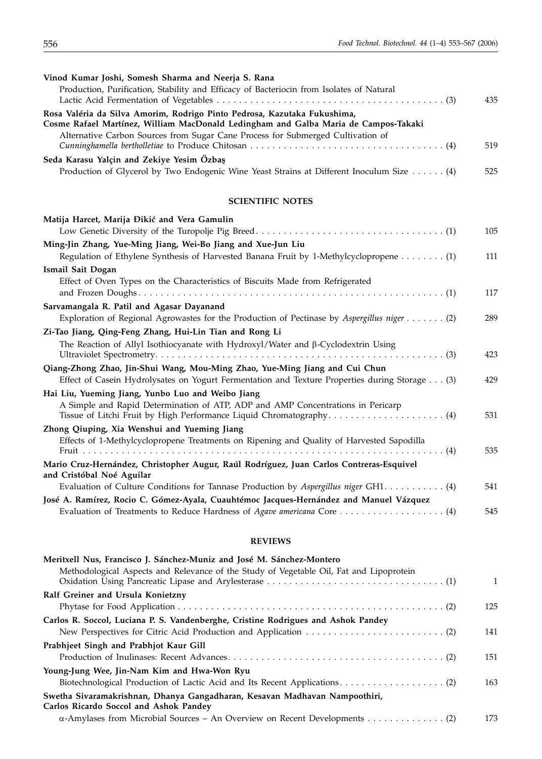| Vinod Kumar Joshi, Somesh Sharma and Neerja S. Rana                                                                                                             |     |
|-----------------------------------------------------------------------------------------------------------------------------------------------------------------|-----|
| Production, Purification, Stability and Efficacy of Bacteriocin from Isolates of Natural                                                                        |     |
|                                                                                                                                                                 | 435 |
| Rosa Valéria da Silva Amorim, Rodrigo Pinto Pedrosa, Kazutaka Fukushima,<br>Cosme Rafael Martínez, William MacDonald Ledingham and Galba Maria de Campos-Takaki |     |
| Alternative Carbon Sources from Sugar Cane Process for Submerged Cultivation of                                                                                 | 519 |
| Seda Karasu Yalçin and Zekiye Yesim Özbaş                                                                                                                       |     |
| Production of Glycerol by Two Endogenic Wine Yeast Strains at Different Inoculum Size (4)                                                                       | 525 |
| <b>SCIENTIFIC NOTES</b>                                                                                                                                         |     |
|                                                                                                                                                                 |     |
| Matija Harcet, Marija Đikić and Vera Gamulin                                                                                                                    |     |
|                                                                                                                                                                 | 105 |
| Ming-Jin Zhang, Yue-Ming Jiang, Wei-Bo Jiang and Xue-Jun Liu                                                                                                    |     |
| Regulation of Ethylene Synthesis of Harvested Banana Fruit by 1-Methylcyclopropene (1)                                                                          | 111 |
| Ismail Sait Dogan                                                                                                                                               |     |
| Effect of Oven Types on the Characteristics of Biscuits Made from Refrigerated                                                                                  |     |
|                                                                                                                                                                 | 117 |
| Sarvamangala R. Patil and Agasar Dayanand                                                                                                                       |     |
| Exploration of Regional Agrowastes for the Production of Pectinase by Aspergillus niger (2)                                                                     | 289 |
| Zi-Tao Jiang, Qing-Feng Zhang, Hui-Lin Tian and Rong Li                                                                                                         |     |
| The Reaction of Allyl Isothiocyanate with Hydroxyl/Water and $\beta$ -Cyclodextrin Using                                                                        | 423 |
| Qiang-Zhong Zhao, Jin-Shui Wang, Mou-Ming Zhao, Yue-Ming Jiang and Cui Chun                                                                                     |     |
|                                                                                                                                                                 |     |

| Effect of Casein Hydrolysates on Yogurt Fermentation and Texture Properties during Storage (3) | 429 |
|------------------------------------------------------------------------------------------------|-----|
| Hai Liu, Yueming Jiang, Yunbo Luo and Weibo Jiang                                              |     |
| A Simple and Rapid Determination of ATP, ADP and AMP Concentrations in Pericarp                | 531 |
| Zhong Qiuping, Xia Wenshui and Yueming Jiang                                                   |     |
| Effects of 1-Methylcyclopropene Treatments on Ripening and Quality of Harvested Sapodilla      | 535 |
| Mario Cruz-Hernández, Christopher Augur, Raúl Rodríguez, Juan Carlos Contreras-Esquivel        |     |
| and Cristóbal Noé Aguilar                                                                      |     |
| Evaluation of Culture Conditions for Tannase Production by Aspergillus niger $GH1$ (4)         | 541 |
| José A. Ramírez, Rocio C. Gómez-Ayala, Cuauhtémoc Jacques-Hernández and Manuel Vázquez         |     |
| Evaluation of Treatments to Reduce Hardness of Agave americana Core  (4)                       | 545 |

#### **REVIEWS**

| Meritxell Nus, Francisco J. Sánchez-Muniz and José M. Sánchez-Montero                                                |     |
|----------------------------------------------------------------------------------------------------------------------|-----|
| Methodological Aspects and Relevance of the Study of Vegetable Oil, Fat and Lipoprotein                              | 1   |
| Ralf Greiner and Ursula Konietzny                                                                                    |     |
|                                                                                                                      | 125 |
| Carlos R. Soccol, Luciana P. S. Vandenberghe, Cristine Rodrigues and Ashok Pandey                                    |     |
|                                                                                                                      | 141 |
| Prabhjeet Singh and Prabhjot Kaur Gill                                                                               |     |
|                                                                                                                      | 151 |
| Young-Jung Wee, Jin-Nam Kim and Hwa-Won Ryu                                                                          |     |
|                                                                                                                      | 163 |
| Swetha Sivaramakrishnan, Dhanya Gangadharan, Kesavan Madhavan Nampoothiri,<br>Carlos Ricardo Soccol and Ashok Pandey |     |
|                                                                                                                      | 173 |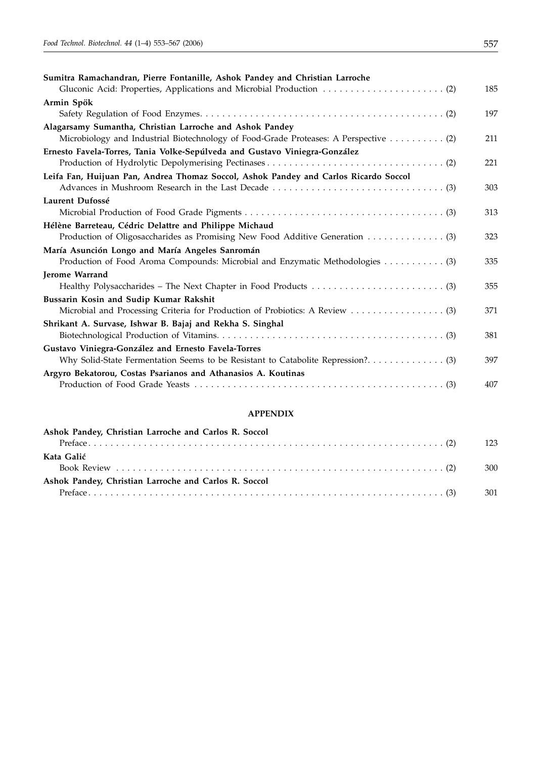| Sumitra Ramachandran, Pierre Fontanille, Ashok Pandey and Christian Larroche          |     |
|---------------------------------------------------------------------------------------|-----|
|                                                                                       | 185 |
| Armin Spök                                                                            |     |
|                                                                                       | 197 |
| Alagarsamy Sumantha, Christian Larroche and Ashok Pandey                              |     |
| Microbiology and Industrial Biotechnology of Food-Grade Proteases: A Perspective  (2) | 211 |
| Ernesto Favela-Torres, Tania Volke-Sepúlveda and Gustavo Viniegra-González            |     |
|                                                                                       | 221 |
| Leifa Fan, Huijuan Pan, Andrea Thomaz Soccol, Ashok Pandey and Carlos Ricardo Soccol  |     |
|                                                                                       | 303 |
| Laurent Dufossé                                                                       |     |
|                                                                                       | 313 |
| Hélène Barreteau, Cédric Delattre and Philippe Michaud                                |     |
|                                                                                       | 323 |
| María Asunción Longo and María Angeles Sanromán                                       |     |
| Production of Food Aroma Compounds: Microbial and Enzymatic Methodologies 3)          | 335 |
| Jerome Warrand                                                                        |     |
|                                                                                       | 355 |
| Bussarin Kosin and Sudip Kumar Rakshit                                                |     |
|                                                                                       | 371 |
| Shrikant A. Survase, Ishwar B. Bajaj and Rekha S. Singhal                             |     |
|                                                                                       | 381 |
| Gustavo Viniegra-González and Ernesto Favela-Torres                                   |     |
|                                                                                       | 397 |
| Argyro Bekatorou, Costas Psarianos and Athanasios A. Koutinas                         |     |
|                                                                                       | 407 |
|                                                                                       |     |
| <b>A PPENDIY</b>                                                                      |     |

#### **APPENDIX**

| Ashok Pandey, Christian Larroche and Carlos R. Soccol | 123 |
|-------------------------------------------------------|-----|
| Kata Galić                                            |     |
|                                                       | 300 |
| Ashok Pandey, Christian Larroche and Carlos R. Soccol |     |
|                                                       | 301 |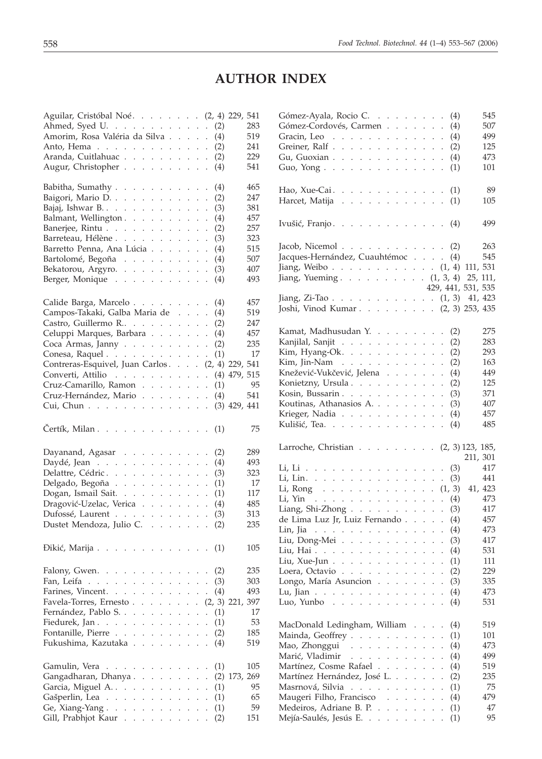# **AUTHOR INDEX**

| Aguilar, Cristóbal Noé. (2, 4) 229, 541                                                  |                                              |                             |                            |                          |            |                   |     |
|------------------------------------------------------------------------------------------|----------------------------------------------|-----------------------------|----------------------------|--------------------------|------------|-------------------|-----|
|                                                                                          |                                              |                             |                            |                          | (2)        |                   | 283 |
|                                                                                          |                                              |                             |                            |                          | (4)        |                   | 519 |
| Anto, Hema $\ldots$ $\ldots$ $\ldots$ $\ldots$ $\ldots$                                  |                                              |                             |                            |                          | (2)        |                   | 241 |
| Aranda, Cuitlahuac                                                                       |                                              |                             |                            |                          | (2)        |                   | 229 |
| Augur, Christopher                                                                       |                                              |                             |                            |                          | (4)        |                   | 541 |
| Babitha, Sumathy                                                                         |                                              |                             |                            |                          | (4)        |                   | 465 |
| Baigori, Mario D.                                                                        |                                              |                             |                            |                          | (2)        |                   | 247 |
| Bajaj, Ishwar B.                                                                         |                                              |                             |                            |                          | (3)        |                   | 381 |
| Balmant, Wellington                                                                      |                                              |                             |                            |                          | (4)        |                   | 457 |
|                                                                                          |                                              |                             |                            |                          |            |                   | 257 |
| Banerjee, Rintu                                                                          |                                              |                             |                            | $\cdot$                  | (2)        |                   | 323 |
| Barreteau, Hélène                                                                        |                                              |                             |                            |                          | (3)        |                   | 515 |
| Barretto Penna, Ana Lúcia                                                                |                                              |                             |                            |                          | (4)        |                   |     |
| Bartolomé, Begoña                                                                        |                                              |                             |                            |                          | (4)        |                   | 507 |
| Bekatorou, Argyro.                                                                       |                                              |                             |                            |                          | (3)        |                   | 407 |
| Berger, Monique                                                                          |                                              |                             |                            |                          | (4)        |                   | 493 |
| Calide Barga, Marcelo                                                                    |                                              |                             |                            |                          | (4)        |                   | 457 |
| Campos-Takaki, Galba Maria de                                                            |                                              |                             |                            |                          | (4)        |                   | 519 |
| Castro, Guillermo R                                                                      |                                              |                             |                            |                          | (2)        |                   | 247 |
| Celuppi Marques, Barbara                                                                 |                                              |                             |                            |                          | (4)        |                   | 457 |
| Coca Armas, Janny                                                                        |                                              |                             |                            |                          | (2)        |                   | 235 |
| Conesa, Raquel                                                                           |                                              |                             |                            |                          | (1)        |                   | 17  |
| Contreras-Esquivel, Juan Carlos. (2, 4) 229, 541                                         |                                              |                             |                            |                          |            |                   |     |
|                                                                                          |                                              |                             |                            |                          |            | $(4)$ 479, 515    |     |
|                                                                                          |                                              |                             |                            |                          | (1)        |                   | 95  |
| Cruz-Hernández, Mario                                                                    |                                              |                             |                            |                          | (4)        |                   | 541 |
| Cui, Chun $\ldots$ $\ldots$ $\ldots$ $\ldots$ $\ldots$ $\ldots$                          |                                              |                             |                            |                          |            | $(3)$ 429, 441    |     |
|                                                                                          |                                              |                             |                            |                          |            |                   |     |
| Čertík, Milan. $\ldots$ $\ldots$ $\ldots$ $\ldots$ $\ldots$                              |                                              |                             |                            |                          | (1)        |                   | 75  |
| Dayanand, Agasar                                                                         |                                              |                             |                            |                          | (2)        |                   | 289 |
|                                                                                          |                                              |                             |                            |                          | (4)        |                   | 493 |
| Daydé, Jean                                                                              |                                              |                             |                            |                          | (3)        |                   | 323 |
| Delattre, Cédric                                                                         |                                              |                             |                            |                          |            |                   | 17  |
| Delgado, Begoña                                                                          |                                              |                             |                            |                          | (1)        |                   | 117 |
| Dogan, Ismail Sait.                                                                      |                                              |                             |                            |                          | (1)        |                   |     |
| Dragović-Uzelac, Verica                                                                  |                                              |                             |                            |                          | (4)        |                   | 485 |
| Dufossé, Laurent                                                                         |                                              |                             |                            |                          | (3)        |                   | 313 |
| Dustet Mendoza, Julio C.                                                                 |                                              |                             |                            |                          | (2)        |                   | 235 |
| Dikić, Marija                                                                            |                                              |                             |                            |                          | (1)        |                   | 105 |
| Falony, Gwen.                                                                            |                                              |                             |                            | $\ddot{\phantom{0}}$     | (2)        |                   | 235 |
| Fan, Leifa                                                                               | $\mathbf{r}$                                 |                             | $\mathcal{L}^{\pm}$        |                          | (3)        |                   | 303 |
| Farines, Vincent.<br>and the contract of the                                             | $\mathbf{r}$<br>$\mathbf{r}$                 | $\mathbf{r}$                | $\ddot{\phantom{a}}$       |                          | (4)        |                   | 493 |
| Favela-Torres, Ernesto.<br>$\mathbf{L}$<br>$\ddot{\phantom{0}}$                          | L.<br>$\mathbf{r}$                           | $\ddot{\phantom{0}}$        | $\ddot{\phantom{0}}$       |                          |            | $(2, 3)$ 221, 397 |     |
| Fernández, Pablo S<br>$\sim 10$<br>$\mathbb{Z}^{\mathbb{Z}^2}$ .<br>$\ddot{\phantom{0}}$ | $\ddot{\phantom{0}}$                         | $\ddot{\phantom{0}}$        | $\ddot{\phantom{0}}$       | $\ddot{\phantom{0}}$     | (1)        |                   | 17  |
| Fiedurek, Jan.                                                                           | $\ddot{\phantom{0}}$<br>у.                   |                             | $\mathcal{L}^{\text{max}}$ | $\overline{\phantom{a}}$ | (1)        |                   | 53  |
| Fontanille, Pierre<br>$\sim$                                                             |                                              |                             |                            |                          |            |                   | 185 |
|                                                                                          |                                              |                             |                            |                          |            |                   |     |
|                                                                                          | $\ddot{\phantom{0}}$                         | $\ddot{\phantom{0}}$        | $\ddot{\phantom{a}}$       | $\ddot{\phantom{0}}$     | (2)        |                   |     |
| Fukushima, Kazutaka                                                                      | $\mathbf{r}$                                 | $\mathbf{r}$                | $\ddot{\phantom{a}}$       |                          | (4)        |                   | 519 |
| Gamulin, Vera<br>$\mathbf{r} = \mathbf{r} \times \mathbf{r}$                             |                                              |                             |                            |                          | (1)        |                   | 105 |
| Gangadharan, Dhanya                                                                      | $\ddot{\phantom{0}}$                         | $\mathbf{r}$                |                            | $\ddot{\phantom{0}}$     |            | $(2)$ 173, 269    |     |
| Garcia, Miguel A.<br>$\mathcal{L}^{\pm}$ and                                             | $\ddot{\phantom{0}}$<br>$\ddot{\phantom{0}}$ | $\mathcal{L}^{\mathcal{L}}$ |                            | $\ddot{\phantom{0}}$     | (1)        |                   | 95  |
|                                                                                          |                                              |                             |                            |                          |            |                   | 65  |
| Gašperlin, Lea<br>and the contract of                                                    |                                              |                             |                            |                          | (1)<br>(1) |                   | 59  |
| Ge, Xiang-Yang.<br>Gill, Prabhjot Kaur                                                   |                                              | $\mathbb{R}^{\mathbb{Z}}$   |                            |                          | (2)        |                   | 151 |

| Gómez-Ayala, Rocio C (4)                                            |  |                      |     | 545                |
|---------------------------------------------------------------------|--|----------------------|-----|--------------------|
| Gómez-Cordovés, Carmen                                              |  |                      | (4) | 507                |
| Gracin, Leo $\cdots$                                                |  |                      | (4) | 499                |
| Greiner, Ralf                                                       |  |                      | (2) | 125                |
| Gu, Guoxian                                                         |  |                      | (4) | 473                |
| Guo, Yong                                                           |  |                      | (1) | 101                |
|                                                                     |  |                      |     |                    |
|                                                                     |  |                      |     |                    |
| Hao, Xue-Cai. (1)                                                   |  |                      |     | 89                 |
| Harcet, Matija                                                      |  |                      | (1) | 105                |
|                                                                     |  |                      |     |                    |
| Ivušić, Franjo (4)                                                  |  |                      |     | 499                |
| Jacob, Nicemol (2)                                                  |  |                      |     | 263                |
| Jacques-Hernández, Cuauhtémoc (4)                                   |  |                      |     | 545                |
|                                                                     |  |                      |     |                    |
| Jiang, Weibo (1, 4) 111, 531<br>Jiang, Yueming $(1, 3, 4)$ 25, 111, |  |                      |     |                    |
|                                                                     |  |                      |     | 429, 441, 531, 535 |
| 429, 441, 531, 535<br>Jiang, Zi-Tao (1, 3) 41, 423                  |  |                      |     |                    |
|                                                                     |  |                      |     |                    |
| Joshi, Vinod Kumar (2, 3) 253, 435                                  |  |                      |     |                    |
|                                                                     |  |                      |     |                    |
| Kamat, Madhusudan Y.                                                |  |                      | (2) | 275                |
| Kanjilal, Sanjit (barantina) kanji ali kanji ali kan                |  |                      | (2) | 283                |
| Kim, Hyang-Ok. $\ldots$                                             |  |                      | (2) | 293                |
| Kim, Jin-Nam $\ldots$ $\ldots$ $\ldots$                             |  | $\ddot{\phantom{0}}$ | (2) | 163                |
| Knežević-Vukčević, Jelena                                           |  |                      | (4) | 449                |
| Konietzny, Ursula                                                   |  |                      | (2) | 125                |
|                                                                     |  |                      |     |                    |
| Kosin, Bussarin.                                                    |  |                      | (3) | 371                |
| Koutinas, Athanasios A.                                             |  |                      | (3) | 407                |
| Krieger, Nadia                                                      |  |                      | (4) | 457                |
| Kulišić, Tea.                                                       |  |                      | (4) | 485                |
|                                                                     |  |                      |     |                    |
| Larroche, Christian (2, 3) 123, 185,                                |  |                      |     |                    |
|                                                                     |  |                      |     | 211, 301           |
| Li, Li (3)                                                          |  |                      |     | 417                |
| Li, Lin.                                                            |  |                      | (3) | 441                |
| Li, Rong $(1, 3)$                                                   |  |                      |     | 41, 423            |
| Li, Yin                                                             |  |                      | (4) | 473                |
| Liang, Shi-Zhong $\ldots$ , $\ldots$ , $\ldots$ , $(3)$             |  |                      |     | 417                |
|                                                                     |  |                      |     | 457                |
| de Lima Luz Jr, Luiz Fernando (4)                                   |  |                      |     |                    |
| Lin, Jia (4)                                                        |  |                      |     | 473                |
| Liu, Dong-Mei (3)                                                   |  |                      |     | 417                |
| Liu, Hai                                                            |  |                      | (4) | 531                |
| Liu, Xue-Jun                                                        |  |                      | (1) | 111                |
| Loera, Octavio $\cdots$ $\cdots$ $\cdots$ $\cdots$                  |  |                      | (2) | 229                |
| Longo, María Asuncion                                               |  |                      | (3) | 335                |
| Lu, Jian                                                            |  | $\ddot{\phantom{0}}$ | (4) | 473                |
| Luo, Yunbo $\ldots$ $\ldots$ .<br>and the control of the con-       |  |                      | (4) | 531                |
|                                                                     |  |                      |     |                    |
|                                                                     |  |                      |     |                    |
| MacDonald Ledingham, William                                        |  |                      | (4) | 519                |
| Mainda, Geoffrey                                                    |  | $\ddot{\phantom{0}}$ | (1) | 101                |
| Mao, Zhonggui                                                       |  |                      | (4) | 473                |
|                                                                     |  |                      | (4) | 499                |
| Martínez, Cosme Rafael                                              |  |                      | (4) | 519                |
| Martínez Hernández, José L                                          |  |                      | (2) | 235                |
| Masrnová, Silvia                                                    |  | $\ddot{\phantom{0}}$ | (1) | 75                 |
|                                                                     |  |                      |     | 479                |
| Maugeri Filho, Francisco                                            |  | $\ddot{\phantom{0}}$ | (4) |                    |
| Medeiros, Adriane B. P.                                             |  |                      | (1) | 47                 |
| Mejía-Saulés, Jesús E.                                              |  |                      | (1) | 95                 |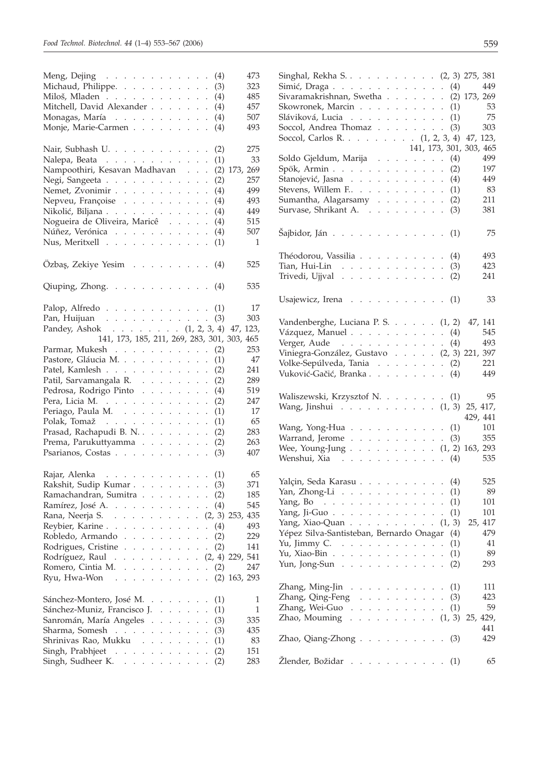| Meng, Dejing $\cdots$ $\cdots$ $\cdots$ $\cdots$ $\cdots$ $\cdots$ (4)<br>Michaud, Philippe.<br>(3)                                                                                                                                                                                            | 473<br>323         |
|------------------------------------------------------------------------------------------------------------------------------------------------------------------------------------------------------------------------------------------------------------------------------------------------|--------------------|
| Miloš, Mladen<br>(4)<br>Mitchell, David Alexander                                                                                                                                                                                                                                              | 485<br>457         |
| (4)                                                                                                                                                                                                                                                                                            | 507                |
| Monagas, María<br>(4)                                                                                                                                                                                                                                                                          |                    |
| Monje, Marie-Carmen<br>(4)                                                                                                                                                                                                                                                                     | 493                |
| Nair, Subhash U.<br>(2)                                                                                                                                                                                                                                                                        | 275                |
| Nalepa, Beata<br>(1)                                                                                                                                                                                                                                                                           | 33                 |
| Nampoothiri, Kesavan Madhavan<br>$(2)$ 173,                                                                                                                                                                                                                                                    | 269                |
| Negi, Sangeeta<br>(2)                                                                                                                                                                                                                                                                          | 257                |
| Nemet, Zvonimir<br>(4)<br>$\cdot$                                                                                                                                                                                                                                                              | 499                |
| Nepveu, Françoise<br>(4)                                                                                                                                                                                                                                                                       | 493                |
| Nikolić, Biljana<br>(4)<br>$\ddot{\phantom{a}}$                                                                                                                                                                                                                                                | 449                |
| Nogueira de Oliveira, Maricê<br>(4)<br>$\ddot{\phantom{a}}$                                                                                                                                                                                                                                    | 515                |
| Núñez, Verónica<br>(4)                                                                                                                                                                                                                                                                         | 507                |
| Nus, Meritxell<br>(1)                                                                                                                                                                                                                                                                          | 1                  |
| Özbaş, Zekiye Yesim<br>(4)                                                                                                                                                                                                                                                                     | 525                |
| Qiuping, Zhong.<br>(4)                                                                                                                                                                                                                                                                         | 535                |
|                                                                                                                                                                                                                                                                                                |                    |
| Palop, Alfredo<br>(1)                                                                                                                                                                                                                                                                          | 17                 |
| Pan, Huijuan<br>(3)                                                                                                                                                                                                                                                                            | 303                |
| Pandey, Ashok (1, 2, 3, 4)<br>141, 173, 185, 211, 269, 283, 301, 303,                                                                                                                                                                                                                          | 123,<br>47,<br>465 |
| Parmar, Mukesh                                                                                                                                                                                                                                                                                 | 253                |
| (2)<br>Pastore, Gláucia M.                                                                                                                                                                                                                                                                     | 47                 |
| (1)<br>$\ddot{\phantom{a}}$                                                                                                                                                                                                                                                                    |                    |
| Patel, Kamlesh<br>(2)                                                                                                                                                                                                                                                                          | 241                |
| Patil, Sarvamangala R.<br>(2)                                                                                                                                                                                                                                                                  | 289                |
| Pedrosa, Rodrigo Pinto<br>(4)<br>$\cdot$                                                                                                                                                                                                                                                       | 519                |
| Pera, Licia M.<br>(2)<br>$\ddot{\phantom{0}}$                                                                                                                                                                                                                                                  | 247                |
| Periago, Paula M.<br>(1)<br>$\ddot{\phantom{0}}$                                                                                                                                                                                                                                               | 17                 |
| Polak, Tomaž<br>(1)<br>$\ddot{\phantom{0}}$                                                                                                                                                                                                                                                    | 65                 |
| Prasad, Rachapudi B. N.<br>(2)                                                                                                                                                                                                                                                                 | 283                |
| Prema, Parukuttyamma<br>(2)                                                                                                                                                                                                                                                                    | 263                |
| Psarianos, Costas<br>(3)                                                                                                                                                                                                                                                                       | 407                |
| Rajar, Alenka $\cdots$ (1)                                                                                                                                                                                                                                                                     | 65                 |
| Rakshit, Sudip Kumar (3)                                                                                                                                                                                                                                                                       | 371                |
| Ramachandran, Sumitra (2)                                                                                                                                                                                                                                                                      | 185                |
| Ramírez, José A.<br>(4)                                                                                                                                                                                                                                                                        | 545                |
| Rana, Neerja S<br>$(2, 3)$ 253, 435<br>$\mathbf{r}$<br>$\mathbf{r}$<br>$\mathcal{L}^{\text{max}}$<br>$\ddot{\phantom{0}}$<br>$\mathbf{r}$<br>$\mathbf{r}$<br>$\ddot{\phantom{0}}$                                                                                                              |                    |
| Reybier, Karine<br>(4)<br>$\mathbf{1}$ $\mathbf{1}$ $\mathbf{1}$<br>$1 - 1 - 1$<br>$\sim 10^{-1}$<br>$\ddot{\phantom{a}}$                                                                                                                                                                      | 493                |
| L.                                                                                                                                                                                                                                                                                             |                    |
| Robledo, Armando<br>(2)<br>$\ddot{\phantom{0}}$<br>$\ddot{\phantom{a}}$<br>and the contract of the state of<br>$\ddot{\phantom{a}}$<br>$\ddot{\phantom{0}}$                                                                                                                                    | 229                |
| Rodrigues, Cristine<br>(2)<br>and the contract of<br>$\ddot{\phantom{0}}$<br>¥.                                                                                                                                                                                                                | 141                |
| Rodríguez, Raul<br>$(2, 4)$ 229, 541<br>$\ddot{\phantom{0}}$<br>and a state of<br>$\ddot{\phantom{0}}$                                                                                                                                                                                         |                    |
| Romero, Cintia M.<br>(2)<br>$\ddot{\phantom{0}}$<br>$\mathcal{L}^{\pm}$<br>$\ddot{\phantom{0}}$<br>$\ddot{\phantom{0}}$<br>$\ddot{\phantom{0}}$                                                                                                                                                | 247                |
| Ryu, Hwa-Won<br>and the contract of the contract of<br>¥.                                                                                                                                                                                                                                      | $(2)$ 163, 293     |
| Sánchez-Montero, José M.<br>$\sim$ $\sim$ $\sim$<br>(1)<br>$\sim$                                                                                                                                                                                                                              | 1                  |
| Sánchez-Muniz, Francisco J<br>(1)<br>$\mathcal{L}^{\pm}$ , $\mathcal{L}^{\pm}$ , $\mathcal{L}^{\pm}$<br>$\ddot{\phantom{0}}$                                                                                                                                                                   | 1                  |
| Sanromán, María Angeles.<br>(3)<br>$\ddot{\phantom{0}}$<br>$\mathbb{R}^{\mathbb{Z}}$<br>$\ddot{\phantom{0}}$                                                                                                                                                                                   | 335                |
| Sharma, Somesh<br>$\mathcal{L}^{\mathcal{A}}$ , $\mathcal{L}^{\mathcal{A}}$ , $\mathcal{L}^{\mathcal{A}}$ , $\mathcal{L}^{\mathcal{A}}$<br>$\ddot{\phantom{a}}$<br>(3)<br>$\ddot{\phantom{0}}$<br>$\ddot{\phantom{a}}$<br>$\ddot{\phantom{a}}$<br>$\ddot{\phantom{a}}$<br>$\ddot{\phantom{a}}$ | 435                |
| Shrinivas Rao, Mukku<br>(1)<br>$\ddot{\phantom{a}}$                                                                                                                                                                                                                                            | 83                 |
| Singh, Prabhjeet<br>(2)<br>$\ddot{\phantom{a}}$                                                                                                                                                                                                                                                | 151                |
| Singh, Sudheer K.<br>(2)<br>$\ddot{\phantom{0}}$                                                                                                                                                                                                                                               | 283                |

| Singhal, Rekha S (2, 3) 275, 381                                                       |                                     |  |  |  |               |                      |     |                         |
|----------------------------------------------------------------------------------------|-------------------------------------|--|--|--|---------------|----------------------|-----|-------------------------|
| Simić, Draga $\ldots$ $\ldots$ $\ldots$ $\ldots$ $\ldots$ $\ldots$ (4)                 |                                     |  |  |  |               |                      |     | 449                     |
| Sivaramakrishnan, Swetha (2) 173, 269                                                  |                                     |  |  |  |               |                      |     |                         |
| Skowronek, Marcin $\ldots$ $\ldots$ $\ldots$ $\ldots$ (1)                              |                                     |  |  |  |               |                      |     | 53                      |
| Sláviková, Lucia $\ldots$ $\ldots$ $\ldots$ $\ldots$ $(1)$                             |                                     |  |  |  |               |                      |     | 75                      |
|                                                                                        |                                     |  |  |  |               |                      |     | 303                     |
| Soccol, Andrea Thomaz (3)                                                              |                                     |  |  |  |               |                      |     |                         |
| Soccol, Carlos R. (1, 2, 3, 4) 47, 123,                                                |                                     |  |  |  |               |                      |     |                         |
|                                                                                        |                                     |  |  |  |               |                      |     | 141, 173, 301, 303, 465 |
| Soldo Gjeldum, Marija                                                                  |                                     |  |  |  |               |                      | (4) | 499                     |
| Spök, Armin (2)                                                                        |                                     |  |  |  |               |                      |     | 197                     |
| Stanojević, Jasna                                                                      |                                     |  |  |  |               |                      | (4) | 449                     |
| Stevens, Willem F.                                                                     |                                     |  |  |  |               |                      | (1) | 83                      |
| Sumantha, Alagarsamy (2)                                                               |                                     |  |  |  |               |                      |     | 211                     |
| Survase, Shrikant A.                                                                   |                                     |  |  |  |               |                      | (3) | 381                     |
|                                                                                        |                                     |  |  |  |               |                      |     |                         |
| Šajbidor, Ján (1)                                                                      |                                     |  |  |  |               |                      |     | 75                      |
|                                                                                        |                                     |  |  |  |               |                      |     |                         |
| Théodorou, Vassilia (4)                                                                |                                     |  |  |  |               |                      |     | 493                     |
|                                                                                        |                                     |  |  |  |               |                      |     |                         |
| Tian, Hui-Lin (3)                                                                      |                                     |  |  |  |               |                      |     | 423                     |
| Trivedi, Ujjval                                                                        |                                     |  |  |  |               |                      | (2) | 241                     |
|                                                                                        |                                     |  |  |  |               |                      |     |                         |
| Usajewicz, Irena (1)                                                                   |                                     |  |  |  |               |                      |     | 33                      |
|                                                                                        |                                     |  |  |  |               |                      |     |                         |
| Vandenberghe, Luciana P. S. (1, 2)                                                     |                                     |  |  |  |               |                      |     | 47, 141                 |
| Vázquez, Manuel $\ldots$ $\ldots$ $\ldots$ $\ldots$ $\ldots$ (4)                       |                                     |  |  |  |               |                      |     | 545                     |
| Verger, Aude $\ldots$ (4)                                                              |                                     |  |  |  |               |                      |     | 493                     |
|                                                                                        |                                     |  |  |  |               |                      |     |                         |
| Viniegra-González, Gustavo (2, 3) 221, 397                                             |                                     |  |  |  |               |                      |     |                         |
| Volke-Sepúlveda, Tania (2)                                                             |                                     |  |  |  |               |                      |     | 221                     |
| Vuković-Gačić, Branka (4)                                                              |                                     |  |  |  |               |                      |     | 449                     |
|                                                                                        |                                     |  |  |  |               |                      |     |                         |
|                                                                                        |                                     |  |  |  |               |                      |     |                         |
| Waliszewski, Krzysztof N. (1)                                                          |                                     |  |  |  |               |                      |     | 95                      |
|                                                                                        |                                     |  |  |  |               |                      |     |                         |
| Wang, Jinshui (1, 3) 25, 417,                                                          |                                     |  |  |  |               |                      |     | 429, 441                |
|                                                                                        |                                     |  |  |  |               |                      |     |                         |
| Wang, Yong-Hua $\ldots$ $\ldots$ $\ldots$ $\ldots$ $\ldots$ (1)                        |                                     |  |  |  |               |                      |     | 101                     |
| Warrand, Jerome $\ldots$ $\ldots$ $\ldots$ $\ldots$ $\ldots$ (3)                       |                                     |  |  |  |               |                      |     | 355                     |
| Wee, Young-Jung (1, 2) 163, 293                                                        |                                     |  |  |  |               |                      |     |                         |
| Wenshui, Xia (4)                                                                       |                                     |  |  |  |               |                      |     | 535                     |
|                                                                                        |                                     |  |  |  |               |                      |     |                         |
| Yalçin, Seda Karasu (4)                                                                |                                     |  |  |  |               |                      |     | 525                     |
| Yan, Zhong-Li $\ldots$ , $\ldots$ , $\ldots$ , $(1)$                                   |                                     |  |  |  |               |                      |     | 89                      |
| Yang, Bo (1)                                                                           |                                     |  |  |  |               |                      |     | 101                     |
|                                                                                        |                                     |  |  |  |               |                      |     | 101                     |
| Yang, Ji-Guo (1)                                                                       |                                     |  |  |  |               |                      |     | 25, 417                 |
| Yang, Xiao-Quan $(1, 3)$                                                               |                                     |  |  |  |               |                      | (4) | 479                     |
| Yépez Silva-Santisteban, Bernardo Onagar                                               |                                     |  |  |  |               |                      |     | 41                      |
| Yu, Jimmy C. $\ldots$                                                                  |                                     |  |  |  |               |                      | (1) |                         |
| Yu, Xiao-Bin $\ldots$ $\ldots$ $\ldots$ $\ldots$ $\ldots$                              |                                     |  |  |  |               |                      | (1) | 89                      |
| Yun, Jong-Sun                                                                          |                                     |  |  |  |               |                      | (2) | 293                     |
|                                                                                        |                                     |  |  |  |               |                      |     |                         |
| Zhang, Ming-Jin                                                                        | and the contract of the contract of |  |  |  | $\sim$ $\sim$ |                      | (1) | 111                     |
| Zhang, Qing-Feng                                                                       |                                     |  |  |  |               |                      | (3) | 423                     |
| Zhang, Wei-Guo                                                                         |                                     |  |  |  |               | $\ddot{\phantom{0}}$ | (1) | 59                      |
|                                                                                        |                                     |  |  |  |               |                      |     |                         |
|                                                                                        |                                     |  |  |  |               |                      |     | 441                     |
| Zhao, Mouming (1, 3) 25, 429,<br>Zhao, Qiang-Zhong $\ldots$ $\ldots$ $\ldots$ $\ldots$ |                                     |  |  |  |               |                      | (3) | 429                     |
|                                                                                        |                                     |  |  |  |               |                      |     |                         |
| Žlender, Božidar                                                                       |                                     |  |  |  |               |                      | (1) | 65                      |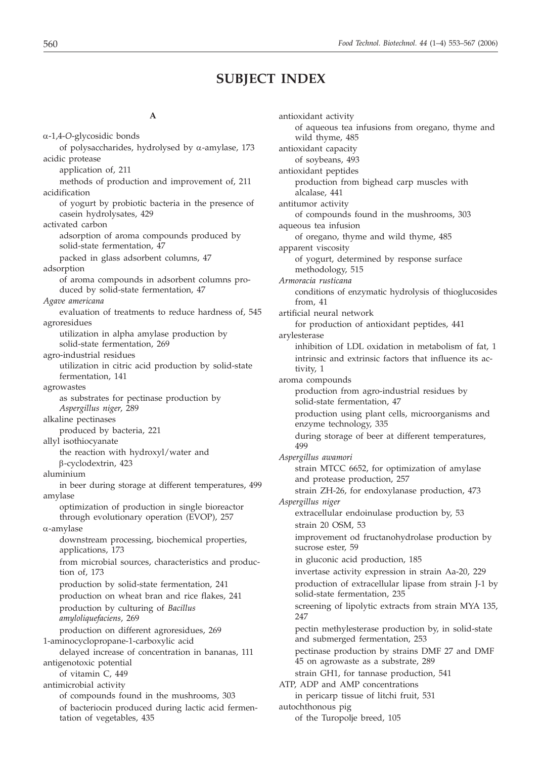### **SUBJECT INDEX**

#### **A**

a-1,4-*O*-glycosidic bonds of polysaccharides, hydrolysed by  $\alpha$ -amylase, 173 acidic protease application of, 211 methods of production and improvement of, 211 acidification of yogurt by probiotic bacteria in the presence of casein hydrolysates, 429 activated carbon adsorption of aroma compounds produced by solid-state fermentation, 47 packed in glass adsorbent columns, 47 adsorption of aroma compounds in adsorbent columns produced by solid-state fermentation, 47 *Agave americana* evaluation of treatments to reduce hardness of, 545 agroresidues utilization in alpha amylase production by solid-state fermentation, 269 agro-industrial residues utilization in citric acid production by solid-state fermentation, 141 agrowastes as substrates for pectinase production by *Aspergillus niger*, 289 alkaline pectinases produced by bacteria, 221 allyl isothiocyanate the reaction with hydroxyl/water and b-cyclodextrin, 423 aluminium in beer during storage at different temperatures, 499 amylase optimization of production in single bioreactor through evolutionary operation (EVOP), 257 a-amylase downstream processing, biochemical properties, applications, 173 from microbial sources, characteristics and production of, 173 production by solid-state fermentation, 241 production on wheat bran and rice flakes, 241 production by culturing of *Bacillus amyloliquefaciens*, 269 production on different agroresidues, 269 1-aminocyclopropane-1-carboxylic acid delayed increase of concentration in bananas, 111 antigenotoxic potential of vitamin C, 449 antimicrobial activity of compounds found in the mushrooms, 303 of bacteriocin produced during lactic acid fermentation of vegetables, 435

antioxidant activity of aqueous tea infusions from oregano, thyme and wild thyme, 485 antioxidant capacity of soybeans, 493 antioxidant peptides production from bighead carp muscles with alcalase, 441 antitumor activity of compounds found in the mushrooms, 303 aqueous tea infusion of oregano, thyme and wild thyme, 485 apparent viscosity of yogurt, determined by response surface methodology, 515 *Armoracia rusticana* conditions of enzymatic hydrolysis of thioglucosides from, 41 artificial neural network for production of antioxidant peptides, 441 arylesterase inhibition of LDL oxidation in metabolism of fat, 1 intrinsic and extrinsic factors that influence its activity, 1 aroma compounds production from agro-industrial residues by solid-state fermentation, 47 production using plant cells, microorganisms and enzyme technology, 335 during storage of beer at different temperatures, 499 *Aspergillus awamori* strain MTCC 6652, for optimization of amylase and protease production, 257 strain ZH-26, for endoxylanase production, 473 *Aspergillus niger* extracellular endoinulase production by, 53 strain 20 OSM, 53 improvement od fructanohydrolase production by sucrose ester, 59 in gluconic acid production, 185 invertase activity expression in strain Aa-20, 229 production of extracellular lipase from strain J-1 by solid-state fermentation, 235 screening of lipolytic extracts from strain MYA 135, 247 pectin methylesterase production by, in solid-state and submerged fermentation, 253 pectinase production by strains DMF 27 and DMF 45 on agrowaste as a substrate, 289 strain GH1, for tannase production, 541 ATP, ADP and AMP concentrations in pericarp tissue of litchi fruit, 531 autochthonous pig of the Turopolje breed, 105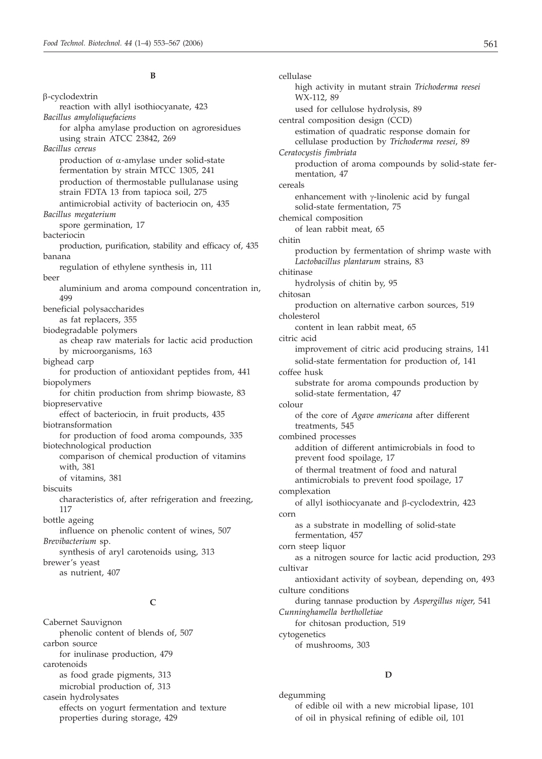#### **B**

b-cyclodextrin reaction with allyl isothiocyanate, 423 *Bacillus amyloliquefaciens* for alpha amylase production on agroresidues using strain ATCC 23842, 269 *Bacillus cereus* production of  $\alpha$ -amylase under solid-state fermentation by strain MTCC 1305, 241 production of thermostable pullulanase using strain FDTA 13 from tapioca soil, 275 antimicrobial activity of bacteriocin on, 435 *Bacillus megaterium* spore germination, 17 bacteriocin production, purification, stability and efficacy of, 435 banana regulation of ethylene synthesis in, 111 beer aluminium and aroma compound concentration in, 499 beneficial polysaccharides as fat replacers, 355 biodegradable polymers as cheap raw materials for lactic acid production by microorganisms, 163 bighead carp for production of antioxidant peptides from, 441 biopolymers for chitin production from shrimp biowaste, 83 biopreservative effect of bacteriocin, in fruit products, 435 biotransformation for production of food aroma compounds, 335 biotechnological production comparison of chemical production of vitamins with, 381 of vitamins, 381 biscuits characteristics of, after refrigeration and freezing, 117 bottle ageing influence on phenolic content of wines, 507 *Brevibacterium* sp. synthesis of aryl carotenoids using, 313 brewer's yeast as nutrient, 407 **C**

Cabernet Sauvignon phenolic content of blends of, 507 carbon source for inulinase production, 479 carotenoids as food grade pigments, 313 microbial production of, 313 casein hydrolysates effects on yogurt fermentation and texture properties during storage, 429

cellulase high activity in mutant strain *Trichoderma reesei* WX-112, 89 used for cellulose hydrolysis, 89 central composition design (CCD) estimation of quadratic response domain for cellulase production by *Trichoderma reesei*, 89 *Ceratocystis fimbriata* production of aroma compounds by solid-state fermentation, 47 cereals enhancement with  $\gamma$ -linolenic acid by fungal solid-state fermentation, 75 chemical composition of lean rabbit meat, 65 chitin production by fermentation of shrimp waste with *Lactobacillus plantarum* strains, 83 chitinase hydrolysis of chitin by, 95 chitosan production on alternative carbon sources, 519 cholesterol content in lean rabbit meat, 65 citric acid improvement of citric acid producing strains, 141 solid-state fermentation for production of, 141 coffee husk substrate for aroma compounds production by solid-state fermentation, 47 colour of the core of *Agave americana* after different treatments, 545 combined processes addition of different antimicrobials in food to prevent food spoilage, 17 of thermal treatment of food and natural antimicrobials to prevent food spoilage, 17 complexation of allyl isothiocyanate and  $\beta$ -cyclodextrin, 423 corn as a substrate in modelling of solid-state fermentation, 457 corn steep liquor as a nitrogen source for lactic acid production, 293 cultivar antioxidant activity of soybean, depending on, 493 culture conditions during tannase production by *Aspergillus niger*, 541 *Cunninghamella bertholletiae* for chitosan production, 519 cytogenetics of mushrooms, 303

#### **D**

degumming of edible oil with a new microbial lipase, 101 of oil in physical refining of edible oil, 101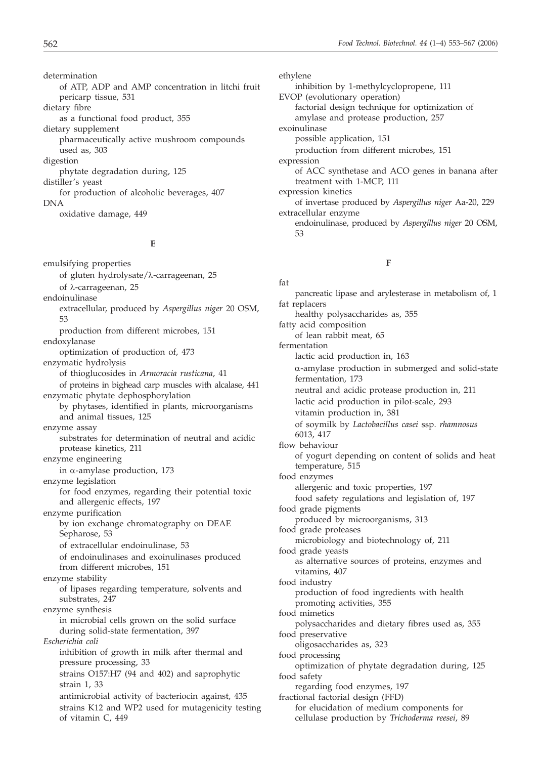determination of ATP, ADP and AMP concentration in litchi fruit pericarp tissue, 531 dietary fibre as a functional food product, 355 dietary supplement pharmaceutically active mushroom compounds

used as, 303 digestion phytate degradation during, 125 distiller's yeast for production of alcoholic beverages, 407 **DNA** 

oxidative damage, 449

#### **E**

emulsifying properties of gluten hydrolysate/ $\lambda$ -carrageenan, 25 of λ-carrageenan, 25 endoinulinase extracellular, produced by *Aspergillus niger* 20 OSM, 53 production from different microbes, 151 endoxylanase optimization of production of, 473 enzymatic hydrolysis of thioglucosides in *Armoracia rusticana*, 41 of proteins in bighead carp muscles with alcalase, 441 enzymatic phytate dephosphorylation by phytases, identified in plants, microorganisms and animal tissues, 125 enzyme assay substrates for determination of neutral and acidic protease kinetics, 211 enzyme engineering in  $\alpha$ -amylase production, 173 enzyme legislation for food enzymes, regarding their potential toxic and allergenic effects, 197 enzyme purification by ion exchange chromatography on DEAE Sepharose, 53 of extracellular endoinulinase, 53 of endoinulinases and exoinulinases produced from different microbes, 151 enzyme stability of lipases regarding temperature, solvents and substrates, 247 enzyme synthesis in microbial cells grown on the solid surface during solid-state fermentation, 397 *Escherichia coli* inhibition of growth in milk after thermal and pressure processing, 33 strains O157:H7 (94 and 402) and saprophytic strain 1, 33 antimicrobial activity of bacteriocin against, 435 strains K12 and WP2 used for mutagenicity testing of vitamin C, 449

#### ethylene inhibition by 1-methylcyclopropene, 111 EVOP (evolutionary operation) factorial design technique for optimization of amylase and protease production, 257 exoinulinase possible application, 151 production from different microbes, 151 expression of ACC synthetase and ACO genes in banana after treatment with 1-MCP, 111 expression kinetics of invertase produced by *Aspergillus niger* Aa-20, 229 extracellular enzyme endoinulinase, produced by *Aspergillus niger* 20 OSM, 53

#### **F**

fat pancreatic lipase and arylesterase in metabolism of, 1 fat replacers healthy polysaccharides as, 355 fatty acid composition of lean rabbit meat, 65 fermentation lactic acid production in, 163 a-amylase production in submerged and solid-state fermentation, 173 neutral and acidic protease production in, 211 lactic acid production in pilot-scale, 293 vitamin production in, 381 of soymilk by *Lactobacillus casei* ssp. *rhamnosus* 6013, 417 flow behaviour of yogurt depending on content of solids and heat temperature, 515 food enzymes allergenic and toxic properties, 197 food safety regulations and legislation of, 197 food grade pigments produced by microorganisms, 313 food grade proteases microbiology and biotechnology of, 211 food grade yeasts as alternative sources of proteins, enzymes and vitamins, 407 food industry production of food ingredients with health promoting activities, 355 food mimetics polysaccharides and dietary fibres used as, 355 food preservative oligosaccharides as, 323 food processing optimization of phytate degradation during, 125 food safety regarding food enzymes, 197 fractional factorial design (FFD) for elucidation of medium components for cellulase production by *Trichoderma reesei*, 89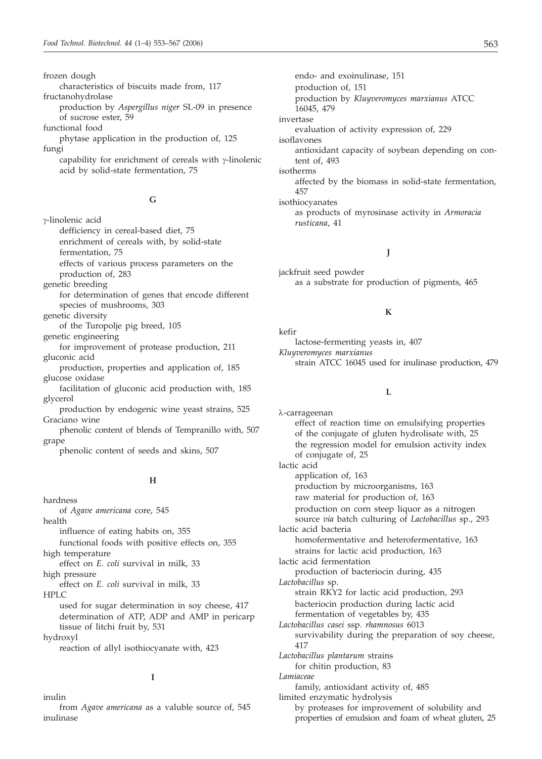frozen dough

characteristics of biscuits made from, 117

fructanohydrolase production by *Aspergillus niger* SL-09 in presence of sucrose ester, 59

functional food

- phytase application in the production of, 125 fungi
	- capability for enrichment of cereals with  $\gamma$ -linolenic acid by solid-state fermentation, 75

#### **G**

g-linolenic acid

defficiency in cereal-based diet, 75 enrichment of cereals with, by solid-state fermentation, 75 effects of various process parameters on the

- production of, 283
- genetic breeding
- for determination of genes that encode different species of mushrooms, 303
- genetic diversity

of the Turopolje pig breed, 105

genetic engineering

for improvement of protease production, 211 gluconic acid

production, properties and application of, 185 glucose oxidase

facilitation of gluconic acid production with, 185 glycerol

production by endogenic wine yeast strains, 525 Graciano wine

phenolic content of blends of Tempranillo with, 507 grape

phenolic content of seeds and skins, 507

#### **H**

hardness

of *Agave americana* core, 545 health

influence of eating habits on, 355

functional foods with positive effects on, 355 high temperature

effect on *E. coli* survival in milk, 33

high pressure

effect on *E. coli* survival in milk, 33 HPLC

used for sugar determination in soy cheese, 417 determination of ATP, ADP and AMP in pericarp tissue of litchi fruit by, 531

hydroxyl

reaction of allyl isothiocyanate with, 423

#### **I**

inulin

from *Agave americana* as a valuble source of, 545 inulinase

endo- and exoinulinase, 151 production of, 151 production by *Kluyveromyces marxianus* ATCC 16045, 479 invertase evaluation of activity expression of, 229 isoflavones antioxidant capacity of soybean depending on content of, 493 isotherms affected by the biomass in solid-state fermentation, 457 isothiocyanates as products of myrosinase activity in *Armoracia rusticana*, 41

#### **J**

jackfruit seed powder as a substrate for production of pigments, 465

#### **K**

kefir lactose-fermenting yeasts in, 407 *Kluyveromyces marxianus* strain ATCC 16045 used for inulinase production, 479

#### **L**

l-carrageenan effect of reaction time on emulsifying properties of the conjugate of gluten hydrolisate with, 25 the regression model for emulsion activity index of conjugate of, 25 lactic acid application of, 163 production by microorganisms, 163 raw material for production of, 163 production on corn steep liquor as a nitrogen source *via* batch culturing of *Lactobacillus* sp., 293 lactic acid bacteria homofermentative and heterofermentative, 163 strains for lactic acid production, 163 lactic acid fermentation production of bacteriocin during, 435 *Lactobacillus* sp. strain RKY2 for lactic acid production, 293 bacteriocin production during lactic acid fermentation of vegetables by, 435 *Lactobacillus casei* ssp. *rhamnosus* 6013 survivability during the preparation of soy cheese, 417 *Lactobacillus plantarum* strains for chitin production, 83 *Lamiaceae* family, antioxidant activity of, 485 limited enzymatic hydrolysis by proteases for improvement of solubility and properties of emulsion and foam of wheat gluten, 25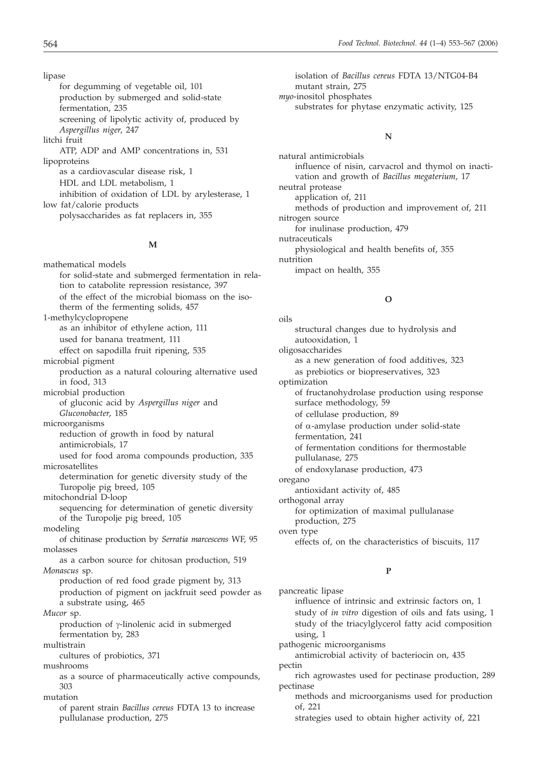lipase for degumming of vegetable oil, 101 production by submerged and solid-state fermentation, 235 screening of lipolytic activity of, produced by *Aspergillus niger*, 247 litchi fruit ATP, ADP and AMP concentrations in, 531 lipoproteins as a cardiovascular disease risk, 1 HDL and LDL metabolism, 1 inhibition of oxidation of LDL by arylesterase, 1 low fat/calorie products polysaccharides as fat replacers in, 355

#### **M**

mathematical models for solid-state and submerged fermentation in relation to catabolite repression resistance, 397 of the effect of the microbial biomass on the isotherm of the fermenting solids, 457 1-methylcyclopropene as an inhibitor of ethylene action, 111 used for banana treatment, 111 effect on sapodilla fruit ripening, 535 microbial pigment production as a natural colouring alternative used in food, 313 microbial production of gluconic acid by *Aspergillus niger* and *Gluconobacter*, 185 microorganisms reduction of growth in food by natural antimicrobials, 17 used for food aroma compounds production, 335 microsatellites determination for genetic diversity study of the Turopolje pig breed, 105 mitochondrial D-loop sequencing for determination of genetic diversity of the Turopolje pig breed, 105 modeling of chitinase production by *Serratia marcescens* WF, 95 molasses as a carbon source for chitosan production, 519 *Monascus* sp. production of red food grade pigment by, 313 production of pigment on jackfruit seed powder as a substrate using, 465 *Mucor* sp. production of  $\gamma$ -linolenic acid in submerged fermentation by, 283 multistrain cultures of probiotics, 371 mushrooms as a source of pharmaceutically active compounds, 303 mutation of parent strain *Bacillus cereus* FDTA 13 to increase pullulanase production, 275

isolation of *Bacillus cereus* FDTA 13/NTG04-B4 mutant strain, 275 *myo*-inositol phosphates substrates for phytase enzymatic activity, 125

#### **N**

natural antimicrobials influence of nisin, carvacrol and thymol on inactivation and growth of *Bacillus megaterium*, 17 neutral protease application of, 211 methods of production and improvement of, 211 nitrogen source for inulinase production, 479 nutraceuticals physiological and health benefits of, 355 nutrition impact on health, 355

#### **O**

oils structural changes due to hydrolysis and autooxidation, 1 oligosaccharides as a new generation of food additives, 323 as prebiotics or biopreservatives, 323 optimization of fructanohydrolase production using response surface methodology, 59 of cellulase production, 89 of  $\alpha$ -amylase production under solid-state fermentation, 241 of fermentation conditions for thermostable pullulanase, 275 of endoxylanase production, 473 oregano antioxidant activity of, 485 orthogonal array for optimization of maximal pullulanase production, 275 oven type effects of, on the characteristics of biscuits, 117

#### **P**

pancreatic lipase

influence of intrinsic and extrinsic factors on, 1 study of *in vitro* digestion of oils and fats using, 1 study of the triacylglycerol fatty acid composition using, 1

pathogenic microorganisms

antimicrobial activity of bacteriocin on, 435 pectin

rich agrowastes used for pectinase production, 289 pectinase

methods and microorganisms used for production of, 221

strategies used to obtain higher activity of, 221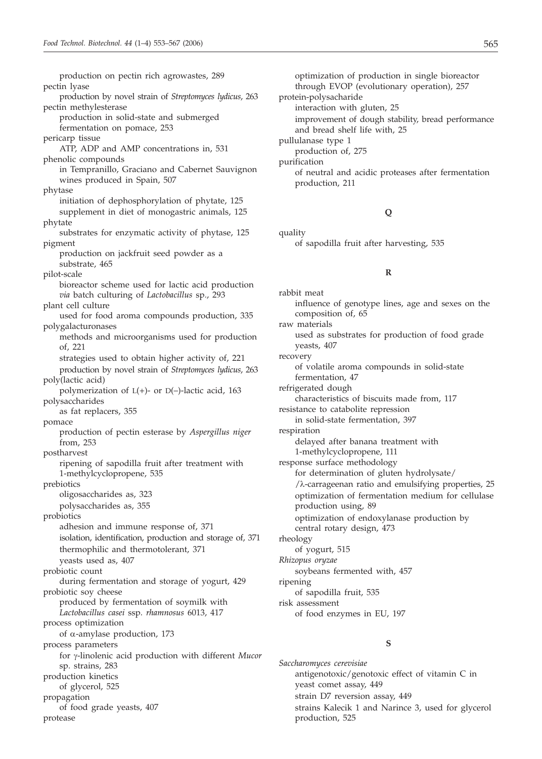production on pectin rich agrowastes, 289 pectin lyase production by novel strain of *Streptomyces lydicus*, 263 pectin methylesterase production in solid-state and submerged fermentation on pomace, 253 pericarp tissue ATP, ADP and AMP concentrations in, 531 phenolic compounds in Tempranillo, Graciano and Cabernet Sauvignon wines produced in Spain, 507 phytase initiation of dephosphorylation of phytate, 125 supplement in diet of monogastric animals, 125 phytate substrates for enzymatic activity of phytase, 125 pigment production on jackfruit seed powder as a substrate, 465 pilot-scale bioreactor scheme used for lactic acid production *via* batch culturing of *Lactobacillus* sp., 293 plant cell culture used for food aroma compounds production, 335 polygalacturonases methods and microorganisms used for production of, 221 strategies used to obtain higher activity of, 221 production by novel strain of *Streptomyces lydicus*, 263 poly(lactic acid) polymerization of  $L(+)$ - or  $D(-)$ -lactic acid, 163 polysaccharides as fat replacers, 355 pomace production of pectin esterase by *Aspergillus niger* from, 253 postharvest ripening of sapodilla fruit after treatment with 1-methylcyclopropene, 535 prebiotics oligosaccharides as, 323 polysaccharides as, 355 probiotics adhesion and immune response of, 371 isolation, identification, production and storage of, 371 thermophilic and thermotolerant, 371 yeasts used as, 407 probiotic count during fermentation and storage of yogurt, 429 probiotic soy cheese produced by fermentation of soymilk with *Lactobacillus casei* ssp. *rhamnosus* 6013, 417 process optimization of  $\alpha$ -amylase production, 173 process parameters for g-linolenic acid production with different *Mucor* sp. strains, 283 production kinetics of glycerol, 525 propagation of food grade yeasts, 407 protease

optimization of production in single bioreactor through EVOP (evolutionary operation), 257 protein-polysacharide interaction with gluten, 25 improvement of dough stability, bread performance and bread shelf life with, 25 pullulanase type 1 production of, 275 purification of neutral and acidic proteases after fermentation production, 211

#### **Q**

```
quality
```
of sapodilla fruit after harvesting, 535

#### **R**

rabbit meat influence of genotype lines, age and sexes on the composition of, 65 raw materials used as substrates for production of food grade yeasts, 407 recovery of volatile aroma compounds in solid-state fermentation, 47 refrigerated dough characteristics of biscuits made from, 117 resistance to catabolite repression in solid-state fermentation, 397 respiration delayed after banana treatment with 1-methylcyclopropene, 111 response surface methodology for determination of gluten hydrolysate/ /l-carrageenan ratio and emulsifying properties, 25 optimization of fermentation medium for cellulase production using, 89 optimization of endoxylanase production by central rotary design, 473 rheology of yogurt, 515 *Rhizopus oryzae* soybeans fermented with, 457 ripening of sapodilla fruit, 535 risk assessment of food enzymes in EU, 197

#### **S**

*Saccharomyces cerevisiae* antigenotoxic/genotoxic effect of vitamin C in yeast comet assay, 449 strain D7 reversion assay, 449 strains Kalecik 1 and Narince 3, used for glycerol production, 525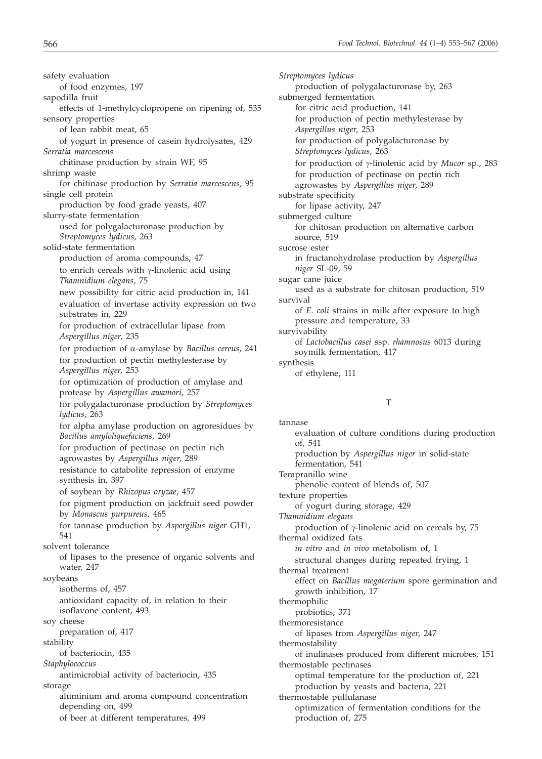safety evaluation of food enzymes, 197 sapodilla fruit effects of 1-methylcyclopropene on ripening of, 535 sensory properties of lean rabbit meat, 65 of yogurt in presence of casein hydrolysates, 429 *Serratia marcescens* chitinase production by strain WF, 95 shrimp waste for chitinase production by *Serratia marcescens*, 95 single cell protein production by food grade yeasts, 407 slurry-state fermentation used for polygalacturonase production by *Streptomyces lydicus*, 263 solid-state fermentation production of aroma compounds, 47 to enrich cereals with  $\gamma$ -linolenic acid using *Thamnidium elegans*, 75 new possibility for citric acid production in, 141 evaluation of invertase activity expression on two substrates in, 229 for production of extracellular lipase from *Aspergillus niger*, 235 for production of a-amylase by *Bacillus cereus*, 241 for production of pectin methylesterase by *Aspergillus niger*, 253 for optimization of production of amylase and protease by *Aspergillus awamori*, 257 for polygalacturonase production by *Streptomyces lydicus*, 263 for alpha amylase production on agroresidues by *Bacillus amyloliquefaciens*, 269 for production of pectinase on pectin rich agrowastes by *Aspergillus niger*, 289 resistance to catabolite repression of enzyme synthesis in, 397 of soybean by *Rhizopus oryzae*, 457 for pigment production on jackfruit seed powder by *Monascus purpureus*, 465 for tannase production by *Aspergillus niger* GH1, 541 solvent tolerance of lipases to the presence of organic solvents and water, 247 soybeans isotherms of, 457 antioxidant capacity of, in relation to their isoflavone content, 493 soy cheese preparation of, 417 stability of bacteriocin, 435 *Staphylococcus* antimicrobial activity of bacteriocin, 435 storage aluminium and aroma compound concentration depending on, 499

of beer at different temperatures, 499

*Streptomyces lydicus* production of polygalacturonase by, 263 submerged fermentation for citric acid production, 141 for production of pectin methylesterase by *Aspergillus niger*, 253 for production of polygalacturonase by *Streptomyces lydicus*, 263 for production of g-linolenic acid by *Mucor* sp., 283 for production of pectinase on pectin rich agrowastes by *Aspergillus niger*, 289 substrate specificity for lipase activity, 247 submerged culture for chitosan production on alternative carbon source, 519 sucrose ester in fructanohydrolase production by *Aspergillus niger* SL-09, 59 sugar cane juice used as a substrate for chitosan production, 519 survival of *E. coli* strains in milk after exposure to high pressure and temperature, 33 survivability of *Lactobacillus casei* ssp. *rhamnosus* 6013 during soymilk fermentation, 417 synthesis of ethylene, 111

#### **T**

tannase evaluation of culture conditions during production of, 541 production by *Aspergillus niger* in solid-state fermentation, 541 Tempranillo wine phenolic content of blends of, 507 texture properties of yogurt during storage, 429 *Thamnidium elegans* production of  $\gamma$ -linolenic acid on cereals by, 75 thermal oxidized fats *in vitro* and *in vivo* metabolism of, 1 structural changes during repeated frying, 1 thermal treatment effect on *Bacillus megaterium* spore germination and growth inhibition, 17 thermophilic probiotics, 371 thermoresistance of lipases from *Aspergillus niger*, 247 thermostability of inulinases produced from different microbes, 151 thermostable pectinases optimal temperature for the production of, 221 production by yeasts and bacteria, 221 thermostable pullulanase optimization of fermentation conditions for the production of, 275